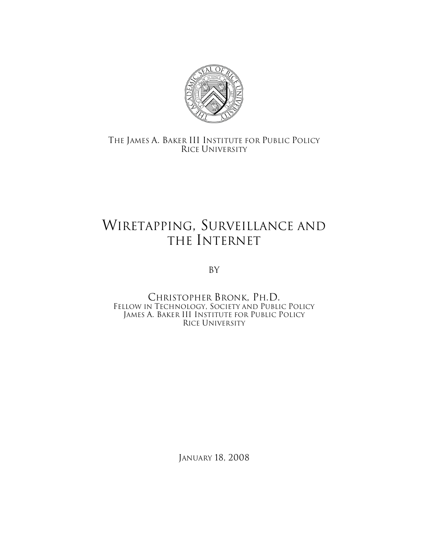

THE JAMES A. BAKER III INSTITUTE FOR PUBLIC POLICY RICE UNIVERSITY

## WIRETAPPING, SURVEILLANCE AND THE INTERNET

By

CHRISTOPHER BRONK, PH.D. FELLOW IN TECHNOLOGY, SOCIETY AND PUBLIC POLICY JAMES A. BAKER III INSTITUTE FOR PUBLIC POLICY RICE UNIVERSITY

JANUARY 18, 2008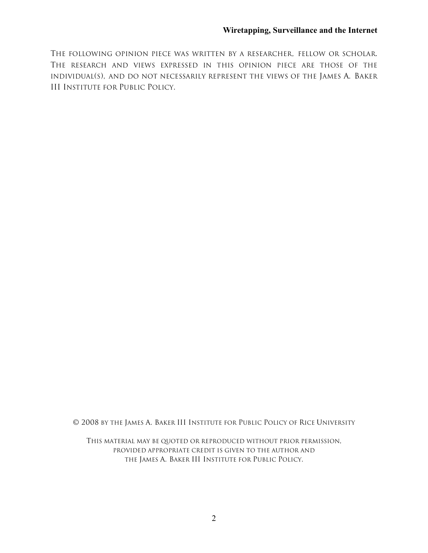THE FOLLOWING OPINION PIECE WAS WRITTEN BY A RESEARCHER, FELLOW OR SCHOLAR. THE RESEARCH AND VIEWS EXPRESSED IN THIS OPINION PIECE ARE THOSE OF THE INDIVIDUAL(S), AND DO NOT NECESSARILY REPRESENT THE VIEWS OF THE JAMES A. BAKER III INSTITUTE FOR PUBLIC POLICY.

© 2008 BY THE JAMES A. BAKER III INSTITUTE FOR PUBLIC POLICY OF RICE UNIVERSITY

THIS MATERIAL MAY BE QUOTED OR REPRODUCED WITHOUT PRIOR PERMISSION, PROVIDED APPROPRIATE CREDIT IS GIVEN TO THE AUTHOR AND THE JAMES A. BAKER III INSTITUTE FOR PUBLIC POLICY.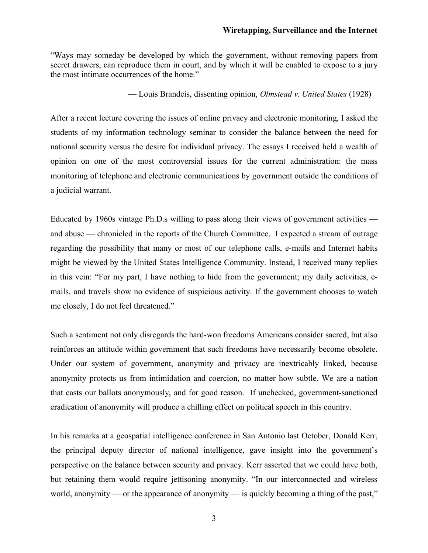## **Wiretapping, Surveillance and the Internet**

"Ways may someday be developed by which the government, without removing papers from secret drawers, can reproduce them in court, and by which it will be enabled to expose to a jury the most intimate occurrences of the home."

— Louis Brandeis, dissenting opinion, *Olmstead v. United States* (1928)

After a recent lecture covering the issues of online privacy and electronic monitoring, I asked the students of my information technology seminar to consider the balance between the need for national security versus the desire for individual privacy. The essays I received held a wealth of opinion on one of the most controversial issues for the current administration: the mass monitoring of telephone and electronic communications by government outside the conditions of a judicial warrant.

Educated by 1960s vintage Ph.D.s willing to pass along their views of government activities and abuse — chronicled in the reports of the Church Committee, I expected a stream of outrage regarding the possibility that many or most of our telephone calls, e-mails and Internet habits might be viewed by the United States Intelligence Community. Instead, I received many replies in this vein: "For my part, I have nothing to hide from the government; my daily activities, emails, and travels show no evidence of suspicious activity. If the government chooses to watch me closely, I do not feel threatened."

Such a sentiment not only disregards the hard-won freedoms Americans consider sacred, but also reinforces an attitude within government that such freedoms have necessarily become obsolete. Under our system of government, anonymity and privacy are inextricably linked, because anonymity protects us from intimidation and coercion, no matter how subtle. We are a nation that casts our ballots anonymously, and for good reason. If unchecked, government-sanctioned eradication of anonymity will produce a chilling effect on political speech in this country.

In his remarks at a geospatial intelligence conference in San Antonio last October, Donald Kerr, the principal deputy director of national intelligence, gave insight into the government's perspective on the balance between security and privacy. Kerr asserted that we could have both, but retaining them would require jettisoning anonymity. "In our interconnected and wireless world, anonymity — or the appearance of anonymity — is quickly becoming a thing of the past,"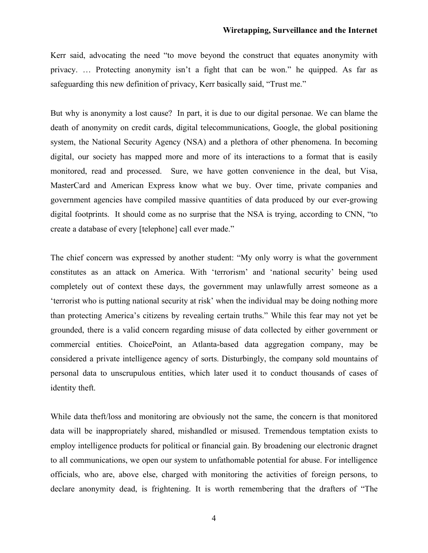## **Wiretapping, Surveillance and the Internet**

Kerr said, advocating the need "to move beyond the construct that equates anonymity with privacy. … Protecting anonymity isn't a fight that can be won." he quipped. As far as safeguarding this new definition of privacy, Kerr basically said, "Trust me."

But why is anonymity a lost cause? In part, it is due to our digital personae. We can blame the death of anonymity on credit cards, digital telecommunications, Google, the global positioning system, the National Security Agency (NSA) and a plethora of other phenomena. In becoming digital, our society has mapped more and more of its interactions to a format that is easily monitored, read and processed. Sure, we have gotten convenience in the deal, but Visa, MasterCard and American Express know what we buy. Over time, private companies and government agencies have compiled massive quantities of data produced by our ever-growing digital footprints. It should come as no surprise that the NSA is trying, according to CNN, "to create a database of every [telephone] call ever made."

The chief concern was expressed by another student: "My only worry is what the government constitutes as an attack on America. With 'terrorism' and 'national security' being used completely out of context these days, the government may unlawfully arrest someone as a 'terrorist who is putting national security at risk' when the individual may be doing nothing more than protecting America's citizens by revealing certain truths." While this fear may not yet be grounded, there is a valid concern regarding misuse of data collected by either government or commercial entities. ChoicePoint, an Atlanta-based data aggregation company, may be considered a private intelligence agency of sorts. Disturbingly, the company sold mountains of personal data to unscrupulous entities, which later used it to conduct thousands of cases of identity theft.

While data theft/loss and monitoring are obviously not the same, the concern is that monitored data will be inappropriately shared, mishandled or misused. Tremendous temptation exists to employ intelligence products for political or financial gain. By broadening our electronic dragnet to all communications, we open our system to unfathomable potential for abuse. For intelligence officials, who are, above else, charged with monitoring the activities of foreign persons, to declare anonymity dead, is frightening. It is worth remembering that the drafters of "The